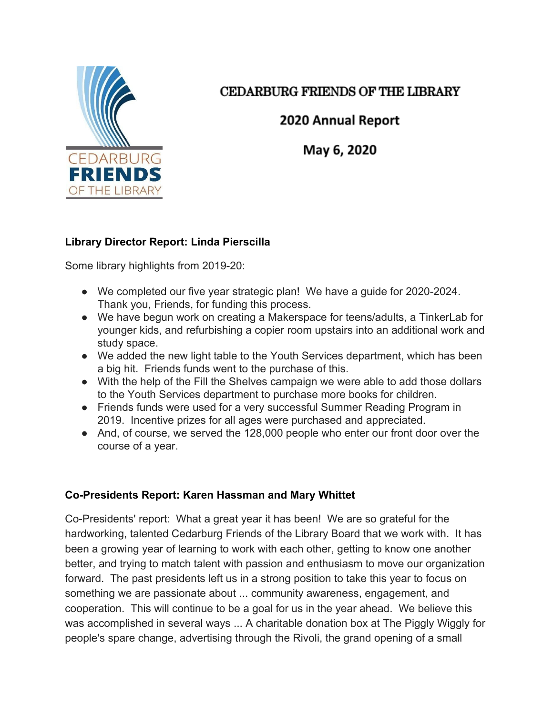

# CEDARBURG FRIENDS OF THE LIBRARY

# 2020 Annual Report

May 6, 2020

# **Library Director Report: Linda Pierscilla**

Some library highlights from 2019-20:

- We completed our five year strategic plan! We have a guide for 2020-2024. Thank you, Friends, for funding this process.
- We have begun work on creating a Makerspace for teens/adults, a TinkerLab for younger kids, and refurbishing a copier room upstairs into an additional work and study space.
- We added the new light table to the Youth Services department, which has been a big hit. Friends funds went to the purchase of this.
- With the help of the Fill the Shelves campaign we were able to add those dollars to the Youth Services department to purchase more books for children.
- Friends funds were used for a very successful Summer Reading Program in 2019. Incentive prizes for all ages were purchased and appreciated.
- And, of course, we served the 128,000 people who enter our front door over the course of a year.

# **Co-Presidents Report: Karen Hassman and Mary Whittet**

Co-Presidents' report: What a great year it has been! We are so grateful for the hardworking, talented Cedarburg Friends of the Library Board that we work with. It has been a growing year of learning to work with each other, getting to know one another better, and trying to match talent with passion and enthusiasm to move our organization forward. The past presidents left us in a strong position to take this year to focus on something we are passionate about ... community awareness, engagement, and cooperation. This will continue to be a goal for us in the year ahead. We believe this was accomplished in several ways ... A charitable donation box at The Piggly Wiggly for people's spare change, advertising through the Rivoli, the grand opening of a small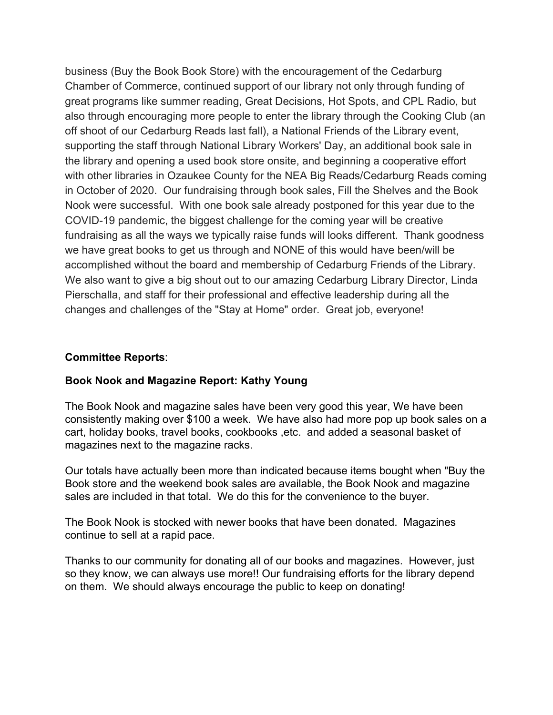business (Buy the Book Book Store) with the encouragement of the Cedarburg Chamber of Commerce, continued support of our library not only through funding of great programs like summer reading, Great Decisions, Hot Spots, and CPL Radio, but also through encouraging more people to enter the library through the Cooking Club (an off shoot of our Cedarburg Reads last fall), a National Friends of the Library event, supporting the staff through National Library Workers' Day, an additional book sale in the library and opening a used book store onsite, and beginning a cooperative effort with other libraries in Ozaukee County for the NEA Big Reads/Cedarburg Reads coming in October of 2020. Our fundraising through book sales, Fill the Shelves and the Book Nook were successful. With one book sale already postponed for this year due to the COVID-19 pandemic, the biggest challenge for the coming year will be creative fundraising as all the ways we typically raise funds will looks different. Thank goodness we have great books to get us through and NONE of this would have been/will be accomplished without the board and membership of Cedarburg Friends of the Library. We also want to give a big shout out to our amazing Cedarburg Library Director, Linda Pierschalla, and staff for their professional and effective leadership during all the changes and challenges of the "Stay at Home" order. Great job, everyone!

#### **Committee Reports**:

## **Book Nook and Magazine Report: Kathy Young**

The Book Nook and magazine sales have been very good this year, We have been consistently making over \$100 a week. We have also had more pop up book sales on a cart, holiday books, travel books, cookbooks ,etc. and added a seasonal basket of magazines next to the magazine racks.

Our totals have actually been more than indicated because items bought when "Buy the Book store and the weekend book sales are available, the Book Nook and magazine sales are included in that total. We do this for the convenience to the buyer.

The Book Nook is stocked with newer books that have been donated. Magazines continue to sell at a rapid pace.

Thanks to our community for donating all of our books and magazines. However, just so they know, we can always use more!! Our fundraising efforts for the library depend on them. We should always encourage the public to keep on donating!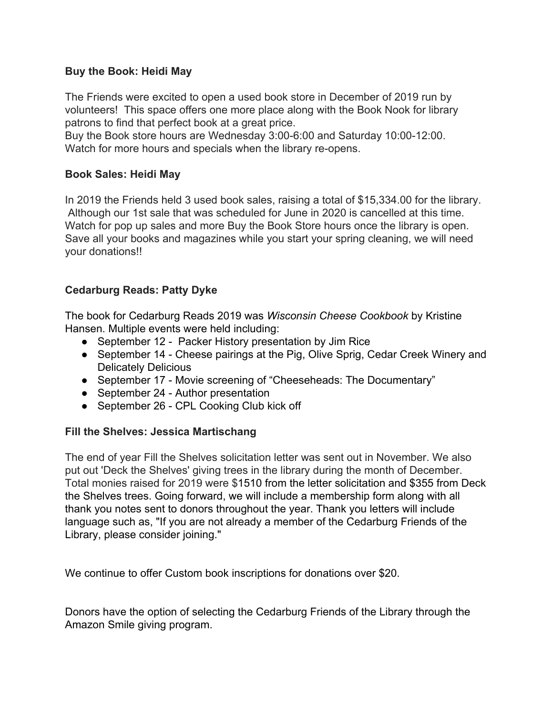### **Buy the Book: Heidi May**

The Friends were excited to open a used book store in December of 2019 run by volunteers! This space offers one more place along with the Book Nook for library patrons to find that perfect book at a great price.

Buy the Book store hours are Wednesday 3:00-6:00 and Saturday 10:00-12:00. Watch for more hours and specials when the library re-opens.

### **Book Sales: Heidi May**

In 2019 the Friends held 3 used book sales, raising a total of \$15,334.00 for the library. Although our 1st sale that was scheduled for June in 2020 is cancelled at this time. Watch for pop up sales and more Buy the Book Store hours once the library is open. Save all your books and magazines while you start your spring cleaning, we will need your donations!!

## **Cedarburg Reads: Patty Dyke**

The book for Cedarburg Reads 2019 was *Wisconsin Cheese Cookbook* by Kristine Hansen. Multiple events were held including:

- September 12 Packer History presentation by Jim Rice
- September 14 Cheese pairings at the Pig, Olive Sprig, Cedar Creek Winery and Delicately Delicious
- September 17 Movie screening of "Cheeseheads: The Documentary"
- September 24 Author presentation
- September 26 CPL Cooking Club kick off

#### **Fill the Shelves: Jessica Martischang**

The end of year Fill the Shelves solicitation letter was sent out in November. We also put out 'Deck the Shelves' giving trees in the library during the month of December. Total monies raised for 2019 were \$1510 from the letter solicitation and \$355 from Deck the Shelves trees. Going forward, we will include a membership form along with all thank you notes sent to donors throughout the year. Thank you letters will include language such as, "If you are not already a member of the Cedarburg Friends of the Library, please consider joining."

We continue to offer Custom book inscriptions for donations over \$20.

Donors have the option of selecting the Cedarburg Friends of the Library through the Amazon Smile giving program.